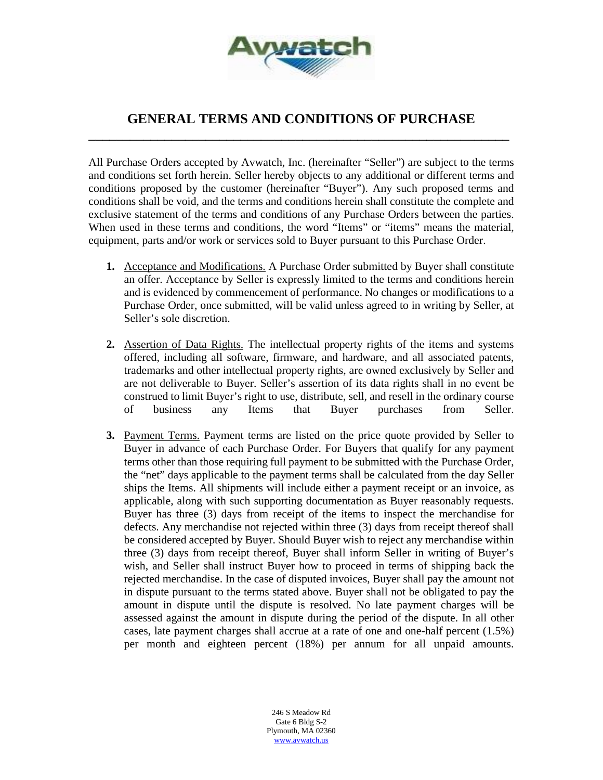

## **GENERAL TERMS AND CONDITIONS OF PURCHASE \_\_\_\_\_\_\_\_\_\_\_\_\_\_\_\_\_\_\_\_\_\_\_\_\_\_\_\_\_\_\_\_\_\_\_\_\_\_\_\_\_\_\_\_\_\_\_\_\_\_\_\_\_\_\_\_\_\_\_\_\_**

All Purchase Orders accepted by Avwatch, Inc. (hereinafter "Seller") are subject to the terms and conditions set forth herein. Seller hereby objects to any additional or different terms and conditions proposed by the customer (hereinafter "Buyer"). Any such proposed terms and conditions shall be void, and the terms and conditions herein shall constitute the complete and exclusive statement of the terms and conditions of any Purchase Orders between the parties. When used in these terms and conditions, the word "Items" or "items" means the material, equipment, parts and/or work or services sold to Buyer pursuant to this Purchase Order.

- **1.** Acceptance and Modifications. A Purchase Order submitted by Buyer shall constitute an offer. Acceptance by Seller is expressly limited to the terms and conditions herein and is evidenced by commencement of performance. No changes or modifications to a Purchase Order, once submitted, will be valid unless agreed to in writing by Seller, at Seller's sole discretion.
- **2.** Assertion of Data Rights. The intellectual property rights of the items and systems offered, including all software, firmware, and hardware, and all associated patents, trademarks and other intellectual property rights, are owned exclusively by Seller and are not deliverable to Buyer. Seller's assertion of its data rights shall in no event be construed to limit Buyer's right to use, distribute, sell, and resell in the ordinary course of business any Items that Buyer purchases from Seller.
- **3.** Payment Terms. Payment terms are listed on the price quote provided by Seller to Buyer in advance of each Purchase Order. For Buyers that qualify for any payment terms other than those requiring full payment to be submitted with the Purchase Order, the "net" days applicable to the payment terms shall be calculated from the day Seller ships the Items. All shipments will include either a payment receipt or an invoice, as applicable, along with such supporting documentation as Buyer reasonably requests. Buyer has three (3) days from receipt of the items to inspect the merchandise for defects. Any merchandise not rejected within three (3) days from receipt thereof shall be considered accepted by Buyer. Should Buyer wish to reject any merchandise within three (3) days from receipt thereof, Buyer shall inform Seller in writing of Buyer's wish, and Seller shall instruct Buyer how to proceed in terms of shipping back the rejected merchandise. In the case of disputed invoices, Buyer shall pay the amount not in dispute pursuant to the terms stated above. Buyer shall not be obligated to pay the amount in dispute until the dispute is resolved. No late payment charges will be assessed against the amount in dispute during the period of the dispute. In all other cases, late payment charges shall accrue at a rate of one and one-half percent (1.5%) per month and eighteen percent (18%) per annum for all unpaid amounts.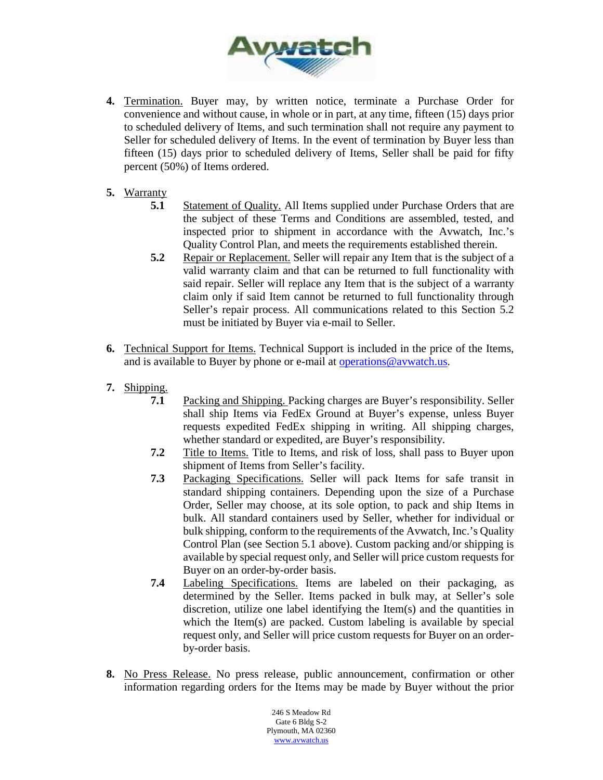

- **4.** Termination. Buyer may, by written notice, terminate a Purchase Order for convenience and without cause, in whole or in part, at any time, fifteen (15) days prior to scheduled delivery of Items, and such termination shall not require any payment to Seller for scheduled delivery of Items. In the event of termination by Buyer less than fifteen (15) days prior to scheduled delivery of Items, Seller shall be paid for fifty percent (50%) of Items ordered.
- **5.** Warranty
	- **5.1** Statement of Quality. All Items supplied under Purchase Orders that are the subject of these Terms and Conditions are assembled, tested, and inspected prior to shipment in accordance with the Avwatch, Inc.'s Quality Control Plan, and meets the requirements established therein.
	- **5.2** Repair or Replacement. Seller will repair any Item that is the subject of a valid warranty claim and that can be returned to full functionality with said repair. Seller will replace any Item that is the subject of a warranty claim only if said Item cannot be returned to full functionality through Seller's repair process. All communications related to this Section 5.2 must be initiated by Buyer via e-mail to Seller.
- **6.** Technical Support for Items. Technical Support is included in the price of the Items, and is available to Buyer by phone or e-mail at **operations@avwatch.us**.
- **7.** Shipping.
	- **7.1** Packing and Shipping. Packing charges are Buyer's responsibility. Seller shall ship Items via FedEx Ground at Buyer's expense, unless Buyer requests expedited FedEx shipping in writing. All shipping charges, whether standard or expedited, are Buyer's responsibility.
	- **7.2** Title to Items. Title to Items, and risk of loss, shall pass to Buyer upon shipment of Items from Seller's facility.
	- **7.3** Packaging Specifications. Seller will pack Items for safe transit in standard shipping containers. Depending upon the size of a Purchase Order, Seller may choose, at its sole option, to pack and ship Items in bulk. All standard containers used by Seller, whether for individual or bulk shipping, conform to the requirements of the Avwatch, Inc.'s Quality Control Plan (see Section 5.1 above). Custom packing and/or shipping is available by special request only, and Seller will price custom requests for Buyer on an order-by-order basis.
	- **7.4** Labeling Specifications. Items are labeled on their packaging, as determined by the Seller. Items packed in bulk may, at Seller's sole discretion, utilize one label identifying the Item(s) and the quantities in which the Item(s) are packed. Custom labeling is available by special request only, and Seller will price custom requests for Buyer on an orderby-order basis.
- **8.** No Press Release. No press release, public announcement, confirmation or other information regarding orders for the Items may be made by Buyer without the prior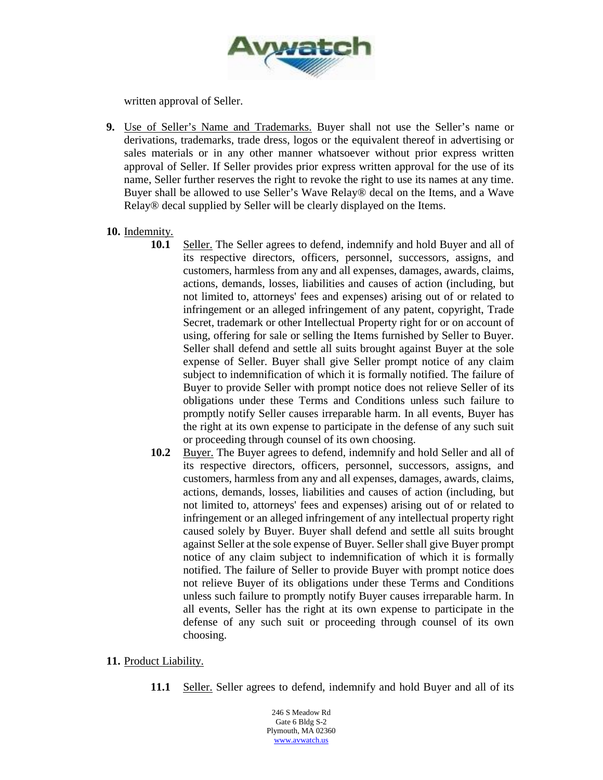

written approval of Seller.

**9.** Use of Seller's Name and Trademarks. Buyer shall not use the Seller's name or derivations, trademarks, trade dress, logos or the equivalent thereof in advertising or sales materials or in any other manner whatsoever without prior express written approval of Seller. If Seller provides prior express written approval for the use of its name, Seller further reserves the right to revoke the right to use its names at any time. Buyer shall be allowed to use Seller's Wave Relay® decal on the Items, and a Wave Relay® decal supplied by Seller will be clearly displayed on the Items.

## **10.** Indemnity.

- **10.1** Seller. The Seller agrees to defend, indemnify and hold Buyer and all of its respective directors, officers, personnel, successors, assigns, and customers, harmless from any and all expenses, damages, awards, claims, actions, demands, losses, liabilities and causes of action (including, but not limited to, attorneys' fees and expenses) arising out of or related to infringement or an alleged infringement of any patent, copyright, Trade Secret, trademark or other Intellectual Property right for or on account of using, offering for sale or selling the Items furnished by Seller to Buyer. Seller shall defend and settle all suits brought against Buyer at the sole expense of Seller. Buyer shall give Seller prompt notice of any claim subject to indemnification of which it is formally notified. The failure of Buyer to provide Seller with prompt notice does not relieve Seller of its obligations under these Terms and Conditions unless such failure to promptly notify Seller causes irreparable harm. In all events, Buyer has the right at its own expense to participate in the defense of any such suit or proceeding through counsel of its own choosing.
- **10.2** Buyer. The Buyer agrees to defend, indemnify and hold Seller and all of its respective directors, officers, personnel, successors, assigns, and customers, harmless from any and all expenses, damages, awards, claims, actions, demands, losses, liabilities and causes of action (including, but not limited to, attorneys' fees and expenses) arising out of or related to infringement or an alleged infringement of any intellectual property right caused solely by Buyer. Buyer shall defend and settle all suits brought against Seller at the sole expense of Buyer. Seller shall give Buyer prompt notice of any claim subject to indemnification of which it is formally notified. The failure of Seller to provide Buyer with prompt notice does not relieve Buyer of its obligations under these Terms and Conditions unless such failure to promptly notify Buyer causes irreparable harm. In all events, Seller has the right at its own expense to participate in the defense of any such suit or proceeding through counsel of its own choosing.
- **11.** Product Liability.
	- **11.1** Seller. Seller agrees to defend, indemnify and hold Buyer and all of its

246 S Meadow Rd Gate 6 Bldg S-2 Plymouth, MA 02360 [www.avwatch.us](http://www.avwatch.us/)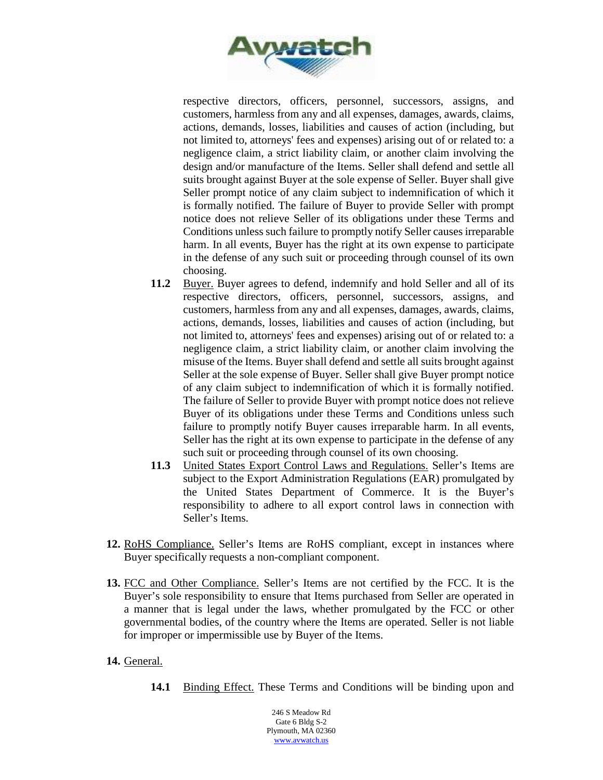

respective directors, officers, personnel, successors, assigns, and customers, harmless from any and all expenses, damages, awards, claims, actions, demands, losses, liabilities and causes of action (including, but not limited to, attorneys' fees and expenses) arising out of or related to: a negligence claim, a strict liability claim, or another claim involving the design and/or manufacture of the Items. Seller shall defend and settle all suits brought against Buyer at the sole expense of Seller. Buyer shall give Seller prompt notice of any claim subject to indemnification of which it is formally notified. The failure of Buyer to provide Seller with prompt notice does not relieve Seller of its obligations under these Terms and Conditions unless such failure to promptly notify Seller causes irreparable harm. In all events, Buyer has the right at its own expense to participate in the defense of any such suit or proceeding through counsel of its own choosing.

- **11.2** Buyer. Buyer agrees to defend, indemnify and hold Seller and all of its respective directors, officers, personnel, successors, assigns, and customers, harmless from any and all expenses, damages, awards, claims, actions, demands, losses, liabilities and causes of action (including, but not limited to, attorneys' fees and expenses) arising out of or related to: a negligence claim, a strict liability claim, or another claim involving the misuse of the Items. Buyer shall defend and settle all suits brought against Seller at the sole expense of Buyer. Seller shall give Buyer prompt notice of any claim subject to indemnification of which it is formally notified. The failure of Seller to provide Buyer with prompt notice does not relieve Buyer of its obligations under these Terms and Conditions unless such failure to promptly notify Buyer causes irreparable harm. In all events, Seller has the right at its own expense to participate in the defense of any such suit or proceeding through counsel of its own choosing.
- **11.3** United States Export Control Laws and Regulations. Seller's Items are subject to the Export Administration Regulations (EAR) promulgated by the United States Department of Commerce. It is the Buyer's responsibility to adhere to all export control laws in connection with Seller's Items.
- **12.** RoHS Compliance. Seller's Items are RoHS compliant, except in instances where Buyer specifically requests a non-compliant component.
- **13.** FCC and Other Compliance. Seller's Items are not certified by the FCC. It is the Buyer's sole responsibility to ensure that Items purchased from Seller are operated in a manner that is legal under the laws, whether promulgated by the FCC or other governmental bodies, of the country where the Items are operated. Seller is not liable for improper or impermissible use by Buyer of the Items.
- **14.** General.
	- 14.1 Binding Effect. These Terms and Conditions will be binding upon and

246 S Meadow Rd Gate 6 Bldg S-2 Plymouth, MA 02360 [www.avwatch.us](http://www.avwatch.us/)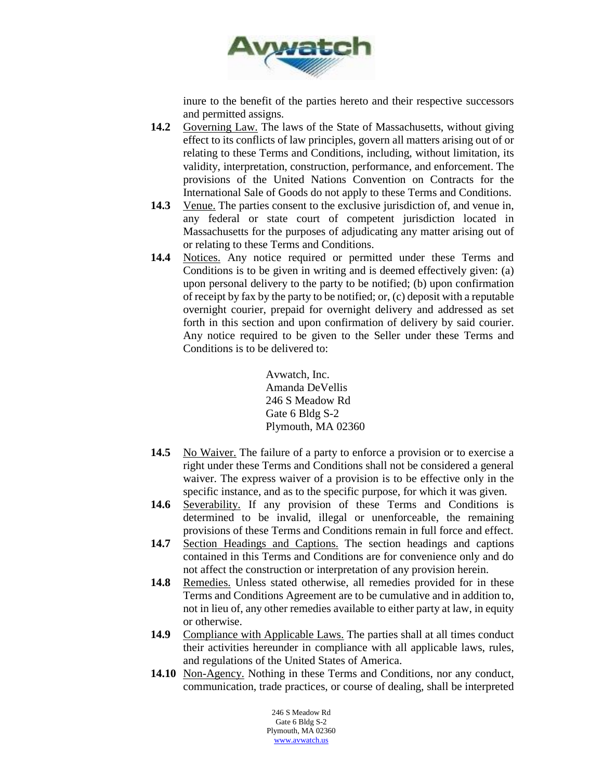

inure to the benefit of the parties hereto and their respective successors and permitted assigns.

- **14.2** Governing Law. The laws of the State of Massachusetts, without giving effect to its conflicts of law principles, govern all matters arising out of or relating to these Terms and Conditions, including, without limitation, its validity, interpretation, construction, performance, and enforcement. The provisions of the United Nations Convention on Contracts for the International Sale of Goods do not apply to these Terms and Conditions.
- **14.3** Venue. The parties consent to the exclusive jurisdiction of, and venue in, any federal or state court of competent jurisdiction located in Massachusetts for the purposes of adjudicating any matter arising out of or relating to these Terms and Conditions.
- **14.4** Notices. Any notice required or permitted under these Terms and Conditions is to be given in writing and is deemed effectively given: (a) upon personal delivery to the party to be notified; (b) upon confirmation of receipt by fax by the party to be notified; or, (c) deposit with a reputable overnight courier, prepaid for overnight delivery and addressed as set forth in this section and upon confirmation of delivery by said courier. Any notice required to be given to the Seller under these Terms and Conditions is to be delivered to:

Avwatch, Inc. Amanda DeVellis 246 S Meadow Rd Gate 6 Bldg S-2 Plymouth, MA 02360

- **14.5** No Waiver. The failure of a party to enforce a provision or to exercise a right under these Terms and Conditions shall not be considered a general waiver. The express waiver of a provision is to be effective only in the specific instance, and as to the specific purpose, for which it was given.
- **14.6** Severability. If any provision of these Terms and Conditions is determined to be invalid, illegal or unenforceable, the remaining provisions of these Terms and Conditions remain in full force and effect.
- **14.7** Section Headings and Captions. The section headings and captions contained in this Terms and Conditions are for convenience only and do not affect the construction or interpretation of any provision herein.
- **14.8** Remedies. Unless stated otherwise, all remedies provided for in these Terms and Conditions Agreement are to be cumulative and in addition to, not in lieu of, any other remedies available to either party at law, in equity or otherwise.
- **14.9** Compliance with Applicable Laws. The parties shall at all times conduct their activities hereunder in compliance with all applicable laws, rules, and regulations of the United States of America.
- **14.10** Non-Agency. Nothing in these Terms and Conditions, nor any conduct, communication, trade practices, or course of dealing, shall be interpreted